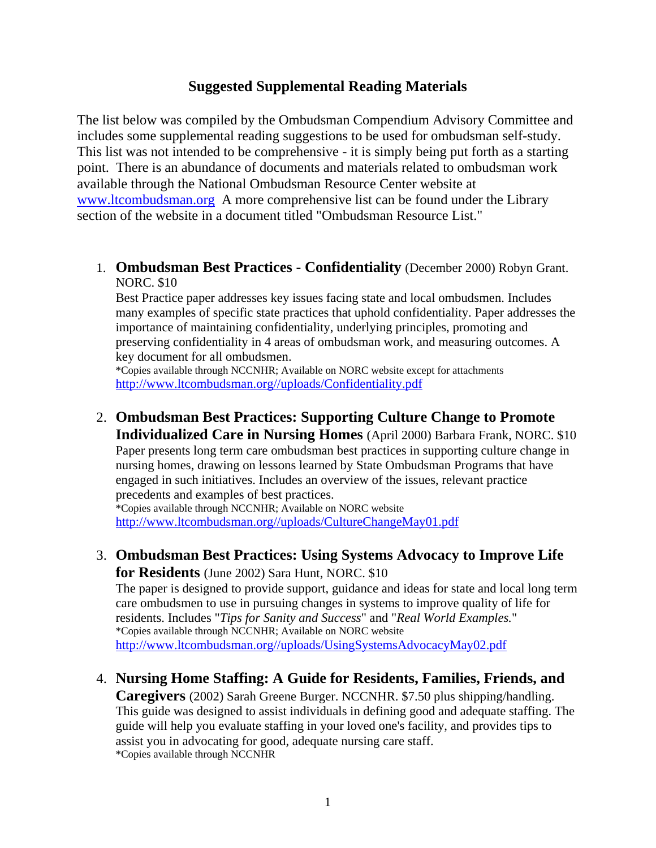## **Suggested Supplemental Reading Materials**

The list below was compiled by the Ombudsman Compendium Advisory Committee and includes some supplemental reading suggestions to be used for ombudsman self-study. This list was not intended to be comprehensive - it is simply being put forth as a starting point. There is an abundance of documents and materials related to ombudsman work available through the National Ombudsman Resource Center website at <www.ltcombudsman.org>A more comprehensive list can be found under the Library section of the website in a document titled "Ombudsman Resource List."

1. **Ombudsman Best Practices - Confidentiality** (December 2000) Robyn Grant. NORC. \$10

Best Practice paper addresses key issues facing state and local ombudsmen. Includes many examples of specific state practices that uphold confidentiality. Paper addresses the importance of maintaining confidentiality, underlying principles, promoting and preserving confidentiality in 4 areas of ombudsman work, and measuring outcomes. A key document for all ombudsmen.

\*Copies available through NCCNHR; Available on NORC website except for attachments [http://www.ltcombudsman.org//uploads/Confidentiality.pdf](http://www.ltcombudsman.org/uploads/Confidentiality.pdf)

2. **Ombudsman Best Practices: Supporting Culture Change to Promote Individualized Care in Nursing Homes** (April 2000) Barbara Frank, NORC. \$10 Paper presents long term care ombudsman best practices in supporting culture change in nursing homes, drawing on lessons learned by State Ombudsman Programs that have engaged in such initiatives. Includes an overview of the issues, relevant practice precedents and examples of best practices.

\*Copies available through NCCNHR; Available on NORC website [http://www.ltcombudsman.org//uploads/CultureChangeMay01.pdf](http://www.ltcombudsman.org/uploads/CultureChangeMay01.pdf)

3. **Ombudsman Best Practices: Using Systems Advocacy to Improve Life for Residents** (June 2002) Sara Hunt, NORC. \$10

The paper is designed to provide support, guidance and ideas for state and local long term care ombudsmen to use in pursuing changes in systems to improve quality of life for residents. Includes "*Tips for Sanity and Success*" and "*Real World Examples.*" \*Copies available through NCCNHR; Available on NORC website [http://www.ltcombudsman.org//uploads/UsingSystemsAdvocacyMay02.pdf](http://www.ltcombudsman.org/uploads/UsingSystemsAdvocacyMay02.pdf)

4. **Nursing Home Staffing: A Guide for Residents, Families, Friends, and** 

**Caregivers** (2002) Sarah Greene Burger. NCCNHR. \$7.50 plus shipping/handling. This guide was designed to assist individuals in defining good and adequate staffing. The guide will help you evaluate staffing in your loved one's facility, and provides tips to assist you in advocating for good, adequate nursing care staff. \*Copies available through NCCNHR